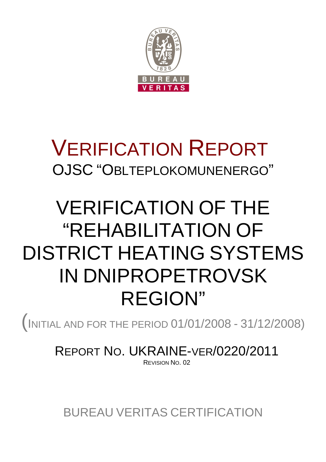

### VERIFICATION REPORT OJSC "OBLTEPLOKOMUNENERGO"

## VERIFICATION OF THE "REHABILITATION OF DISTRICT HEATING SYSTEMS IN DNIPROPETROVSK REGION"

(<sup>I</sup>NITIAL AND FOR THE PERIOD 01/01/2008 - 31/12/2008)

REPORT NO. UKRAINE-VER/0220/2011 REVISION NO. 02

BUREAU VERITAS CERTIFICATION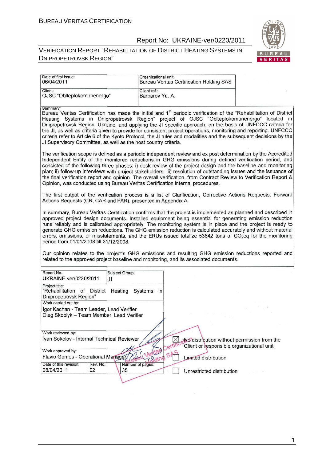#### VERIFICATION REPORT "REHABILITATION OF DISTRICT HEATING SYSTEMS IN DNIPROPETROVSK REGION"



÷,

| Date of first issue:<br>06/04/2011                                                                                                                                                                                                                                                                                                                                                                                                                                                                                                                                                                                                                                        | Organizational unit:<br><b>Bureau Veritas Certification Holding SAS</b>       |                                             |
|---------------------------------------------------------------------------------------------------------------------------------------------------------------------------------------------------------------------------------------------------------------------------------------------------------------------------------------------------------------------------------------------------------------------------------------------------------------------------------------------------------------------------------------------------------------------------------------------------------------------------------------------------------------------------|-------------------------------------------------------------------------------|---------------------------------------------|
| Client:<br>OJSC "Oblteplokomunenergo"                                                                                                                                                                                                                                                                                                                                                                                                                                                                                                                                                                                                                                     | Client ref.:<br>Barbarov Yu. A.                                               |                                             |
| Summary:<br>Bureau Veritas Certification has made the initial and 1 <sup>st</sup> periodic verification of the "Rehabilitation of District<br>Heating Systems in Dnipropetrovsk Region" project of OJSC "Oblteplokomunenergo" located in<br>Dnipropetrovsk Region, Ukraine, and applying the JI specific approach, on the basis of UNFCCC criteria for<br>the JI, as well as criteria given to provide for consistent project operations, monitoring and reporting. UNFCCC<br>criteria refer to Article 6 of the Kyoto Protocol, the JI rules and modalities and the subsequent decisions by the<br>JI Supervisory Committee, as well as the host country criteria.       |                                                                               |                                             |
| The verification scope is defined as a periodic independent review and ex post determination by the Accredited<br>Independent Entity of the monitored reductions in GHG emissions during defined verification period, and<br>consisted of the following three phases: i) desk review of the project design and the baseline and monitoring<br>plan; ii) follow-up interviews with project stakeholders; iii) resolution of outstanding issues and the issuance of<br>the final verification report and opinion. The overall verification, from Contract Review to Verification Report &<br>Opinion, was conducted using Bureau Veritas Certification internal procedures. |                                                                               |                                             |
| The first output of the verification process is a list of Clarification, Corrective Actions Requests, Forward<br>Actions Requests (CR, CAR and FAR), presented in Appendix A.                                                                                                                                                                                                                                                                                                                                                                                                                                                                                             |                                                                               |                                             |
| In summary, Bureau Veritas Certification confirms that the project is implemented as planned and described in<br>approved project design documents. Installed equipment being essential for generating emission reduction<br>runs reliably and is calibrated appropriately. The monitoring system is in place and the project is ready to<br>generate GHG emission reductions. The GHG emission reduction is calculated accurately and without material<br>errors, omissions, or misstatements, and the ERUs issued totalize 53642 tons of CO <sub>2</sub> eq for the monitoring<br>period from 01/01/2008 till 31/12/2008.                                               |                                                                               |                                             |
| Our opinion relates to the project's GHG emissions and resulting GHG emission reductions reported and<br>related to the approved project baseline and monitoring, and its associated documents.                                                                                                                                                                                                                                                                                                                                                                                                                                                                           |                                                                               |                                             |
| Report No.:<br>Subject Group:<br>UKRAINE-ver/0220/2011<br>JI                                                                                                                                                                                                                                                                                                                                                                                                                                                                                                                                                                                                              |                                                                               |                                             |
| Project title:<br>"Rehabilitation of District Heating<br>Dnipropetrovsk Region"                                                                                                                                                                                                                                                                                                                                                                                                                                                                                                                                                                                           | Systems<br>in                                                                 |                                             |
| Work carried out by:<br>Igor Kachan - Team Leader, Lead Verifier<br>Oleg Skoblyk - Team Member, Lead Verifier                                                                                                                                                                                                                                                                                                                                                                                                                                                                                                                                                             |                                                                               |                                             |
| Work reviewed by:<br>Ivan Sokolov - Internal Technical Reviewer                                                                                                                                                                                                                                                                                                                                                                                                                                                                                                                                                                                                           | Client or responsible organizational unit                                     | No distribution without permission from the |
| Work approved by:<br>Flavio Gomes - Operational Manager/<br>Date of this revision:<br>Rev. No.:                                                                                                                                                                                                                                                                                                                                                                                                                                                                                                                                                                           | SP<br>Vau<br><b>Limited distribution</b><br><b>TRains</b><br>Number of pages: |                                             |
| 08/04/2011<br>02<br>35                                                                                                                                                                                                                                                                                                                                                                                                                                                                                                                                                                                                                                                    | Unrestricted distribution                                                     |                                             |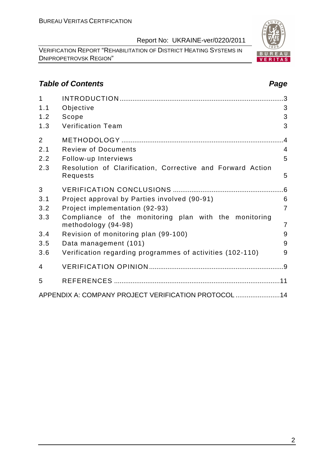Report No: UKRAINE-ver/0220/2011

VERIFICATION REPORT "REHABILITATION OF DISTRICT HEATING SYSTEMS IN DNIPROPETROVSK REGION"

#### **Table of Contents Page 2018**

| 1              |                                                                              | .3             |
|----------------|------------------------------------------------------------------------------|----------------|
| 1.1            | Objective                                                                    | 3              |
| 1.2            | Scope                                                                        | 3              |
| 1.3            | <b>Verification Team</b>                                                     | 3              |
| $\overline{2}$ |                                                                              |                |
| 2.1            | <b>Review of Documents</b>                                                   | $\overline{4}$ |
| 2.2            | Follow-up Interviews                                                         | 5              |
| 2.3            | Resolution of Clarification, Corrective and Forward Action<br>Requests       | 5              |
| 3              |                                                                              |                |
| 3.1            | Project approval by Parties involved (90-91)                                 | 6              |
| 3.2            | Project implementation (92-93)                                               | $\overline{7}$ |
| 3.3            | Compliance of the monitoring plan with the monitoring<br>methodology (94-98) | $\overline{7}$ |
| 3.4            | Revision of monitoring plan (99-100)                                         | 9              |
| 3.5            | Data management (101)                                                        | 9              |
| 3.6            | Verification regarding programmes of activities (102-110)                    | 9              |
| 4              |                                                                              |                |
| 5              |                                                                              |                |
|                | APPENDIX A: COMPANY PROJECT VERIFICATION PROTOCOL  14                        |                |

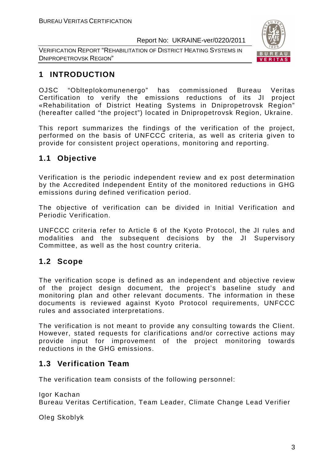VERIFICATION REPORT "REHABILITATION OF DISTRICT HEATING SYSTEMS IN DNIPROPETROVSK REGION"



### **1 INTRODUCTION**

OJSC "Oblteplokomunenergo" has commissioned Bureau Veritas Certification to verify the emissions reductions of its JI project «Rehabilitation of District Heating Systems in Dnipropetrovsk Region" (hereafter called "the project") located in Dnipropetrovsk Region, Ukraine.

This report summarizes the findings of the verification of the project, performed on the basis of UNFCCC criteria, as well as criteria given to provide for consistent project operations, monitoring and reporting.

#### **1.1 Objective**

Verification is the periodic independent review and ex post determination by the Accredited Independent Entity of the monitored reductions in GHG emissions during defined verification period.

The objective of verification can be divided in Initial Verification and Periodic Verification.

UNFCCC criteria refer to Article 6 of the Kyoto Protocol, the JI rules and modalities and the subsequent decisions by the JI Supervisory Committee, as well as the host country criteria.

#### **1.2 Scope**

The verification scope is defined as an independent and objective review of the project design document, the project's baseline study and monitoring plan and other relevant documents. The information in these documents is reviewed against Kyoto Protocol requirements, UNFCCC rules and associated interpretations.

The verification is not meant to provide any consulting towards the Client. However, stated requests for clarifications and/or corrective actions may provide input for improvement of the project monitoring towards reductions in the GHG emissions.

#### **1.3 Verification Team**

The verification team consists of the following personnel:

Igor Kachan

Bureau Veritas Certification, Team Leader, Climate Change Lead Verifier

Oleg Skoblyk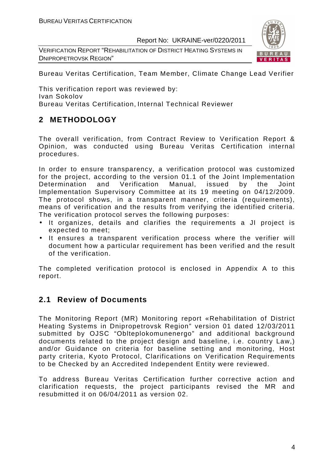VERIFICATION REPORT "REHABILITATION OF DISTRICT HEATING SYSTEMS IN DNIPROPETROVSK REGION"



Bureau Veritas Certification, Team Member, Climate Change Lead Verifier

This verification report was reviewed by: Ivan Sokolov Bureau Veritas Certification, Internal Technical Reviewer

#### **2 METHODOLOGY**

The overall verification, from Contract Review to Verification Report & Opinion, was conducted using Bureau Veritas Certification internal procedures.

In order to ensure transparency, a verification protocol was customized for the project, according to the version 01.1 of the Joint Implementation Determination and Verification Manual, issued by the Joint Implementation Supervisory Committee at its 19 meeting on 04/12/2009. The protocol shows, in a transparent manner, criteria (requirements), means of verification and the results from verifying the identified criteria. The verification protocol serves the following purposes:

- It organizes, details and clarifies the requirements a JI project is expected to meet;
- It ensures a transparent verification process where the verifier will document how a particular requirement has been verified and the result of the verification.

The completed verification protocol is enclosed in Appendix A to this report.

#### **2.1 Review of Documents**

The Monitoring Report (MR) Monitoring report «Rehabilitation of District Heating Systems in Dnipropetrovsk Region" version 01 dated 12/03/2011 submitted by OJSC "Oblteplokomunenergo" and additional background documents related to the project design and baseline, i.e. country Law,) and/or Guidance on criteria for baseline setting and monitoring, Host party criteria, Kyoto Protocol, Clarifications on Verification Requirements to be Checked by an Accredited Independent Entity were reviewed.

To address Bureau Veritas Certification further corrective action and clarification requests, the project participants revised the MR and resubmitted it on 06/04/2011 as version 02.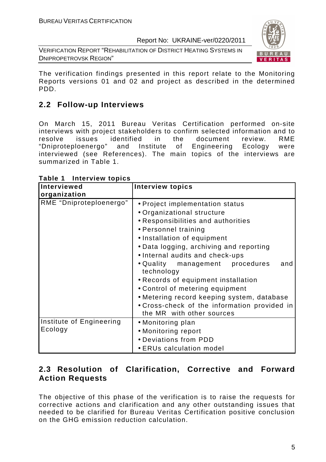VERIFICATION REPORT "REHABILITATION OF DISTRICT HEATING SYSTEMS IN DNIPROPETROVSK REGION"



The verification findings presented in this report relate to the Monitoring Reports versions 01 and 02 and project as described in the determined PDD.

#### **2.2 Follow-up Interviews**

On March 15, 2011 Bureau Veritas Certification performed on-site interviews with project stakeholders to confirm selected information and to resolve issues identified in the document review. RME "Dniproteploenergo" and Institute of Engineering Ecology were interviewed (see References). The main topics of the interviews are summarized in Table 1.

| <b>Interviewed</b>                  | <b>Interview topics</b>                                                                                                                                                                                                                                   |
|-------------------------------------|-----------------------------------------------------------------------------------------------------------------------------------------------------------------------------------------------------------------------------------------------------------|
| organization                        |                                                                                                                                                                                                                                                           |
| RME "Dniproteploenergo"             | • Project implementation status<br>• Organizational structure<br>• Responsibilities and authorities<br>• Personnel training<br>• Installation of equipment<br>• Data logging, archiving and reporting<br>• Internal audits and check-ups                  |
|                                     | • Quality management procedures<br>and<br>technology<br>• Records of equipment installation<br>• Control of metering equipment<br>• Metering record keeping system, database<br>• Cross-check of the information provided in<br>the MR with other sources |
| Institute of Engineering<br>Ecology | • Monitoring plan<br>• Monitoring report<br>• Deviations from PDD<br>• ERUs calculation model                                                                                                                                                             |

**Table 1 Interview topics** 

#### **2.3 Resolution of Clarification, Corrective and Forward Action Requests**

The objective of this phase of the verification is to raise the requests for corrective actions and clarification and any other outstanding issues that needed to be clarified for Bureau Veritas Certification positive conclusion on the GHG emission reduction calculation.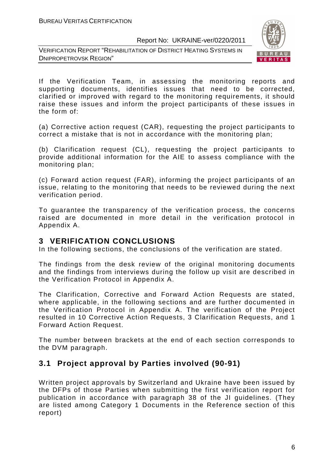



If the Verification Team, in assessing the monitoring reports and supporting documents, identifies issues that need to be corrected, clarified or improved with regard to the monitoring requirements, it should raise these issues and inform the project participants of these issues in the form of:

(a) Corrective action request (CAR), requesting the project participants to correct a mistake that is not in accordance with the monitoring plan;

(b) Clarification request (CL), requesting the project participants to provide additional information for the AIE to assess compliance with the monitoring plan;

(c) Forward action request (FAR), informing the project participants of an issue, relating to the monitoring that needs to be reviewed during the next verification period.

To guarantee the transparency of the verification process, the concerns raised are documented in more detail in the verification protocol in Appendix A.

#### **3 VERIFICATION CONCLUSIONS**

In the following sections, the conclusions of the verification are stated.

The findings from the desk review of the original monitoring documents and the findings from interviews during the follow up visit are described in the Verification Protocol in Appendix A.

The Clarification, Corrective and Forward Action Requests are stated, where applicable, in the following sections and are further documented in the Verification Protocol in Appendix A. The verification of the Project resulted in 10 Corrective Action Requests, 3 Clarification Requests, and 1 Forward Action Request.

The number between brackets at the end of each section corresponds to the DVM paragraph.

#### **3.1 Project approval by Parties involved (90-91)**

Written project approvals by Switzerland and Ukraine have been issued by the DFPs of those Parties when submitting the first verification report for publication in accordance with paragraph 38 of the JI guidelines. (They are listed among Category 1 Documents in the Reference section of this report)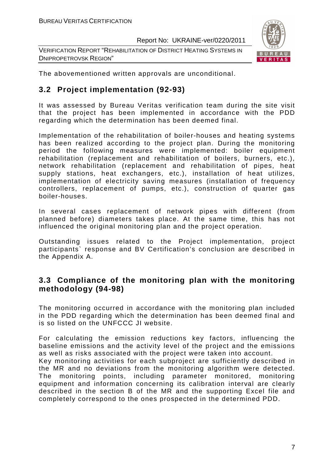VERIFICATION REPORT "REHABILITATION OF DISTRICT HEATING SYSTEMS IN DNIPROPETROVSK REGION"



The abovementioned written approvals are unconditional.

#### **3.2 Project implementation (92-93)**

It was assessed by Bureau Veritas verification team during the site visit that the project has been implemented in accordance with the PDD regarding which the determination has been deemed final.

Implementation of the rehabilitation of boiler-houses and heating systems has been realized according to the project plan. During the monitoring period the following measures were implemented: boiler equipment rehabilitation (replacement and rehabilitation of boilers, burners, etc.), network rehabilitation (replacement and rehabilitation of pipes, heat supply stations, heat exchangers, etc.), installation of heat utilizes, implementation of electricity saving measures (installation of frequency controllers, replacement of pumps, etc.), construction of quarter gas boiler-houses.

In several cases replacement of network pipes with different (from planned before) diameters takes place. At the same time, this has not influenced the original monitoring plan and the project operation.

Outstanding issues related to the Project implementation, project participants` response and BV Certification's conclusion are described in the Appendix A.

#### **3.3 Compliance of the monitoring plan with the monitoring methodology (94-98)**

The monitoring occurred in accordance with the monitoring plan included in the PDD regarding which the determination has been deemed final and is so listed on the UNFCCC JI website.

For calculating the emission reductions key factors, influencing the baseline emissions and the activity level of the project and the emissions as well as risks associated with the project were taken into account. Key monitoring activities for each subproject are sufficiently described in the MR and no deviations from the monitoring algorithm were detected. The monitoring points, including parameter monitored, monitoring equipment and information concerning its calibration interval are clearly described in the section B of the MR and the supporting Excel file and completely correspond to the ones prospected in the determined PDD.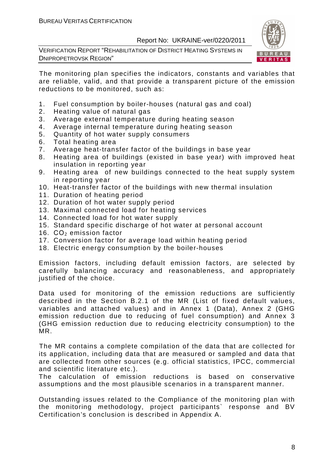VERIFICATION REPORT "REHABILITATION OF DISTRICT HEATING SYSTEMS IN DNIPROPETROVSK REGION"



The monitoring plan specifies the indicators, constants and variables that are reliable, valid, and that provide a transparent picture of the emission reductions to be monitored, such as:

- 1. Fuel consumption by boiler-houses (natural gas and coal)
- 2. Heating value of natural gas
- 3. Average external temperature during heating season
- 4. Average internal temperature during heating season
- 5. Quantity of hot water supply consumers
- 6. Total heating area
- 7. Average heat-transfer factor of the buildings in base year
- 8. Heating area of buildings (existed in base year) with improved heat insulation in reporting year
- 9. Heating area of new buildings connected to the heat supply system in reporting year
- 10. Heat-transfer factor of the buildings with new thermal insulation
- 11. Duration of heating period
- 12. Duration of hot water supply period
- 13. Maximal connected load for heating services
- 14. Connected load for hot water supply
- 15. Standard specific discharge of hot water at personal account
- 16.  $CO<sub>2</sub>$  emission factor
- 17. Conversion factor for average load within heating period
- 18. Electric energy consumption by the boiler-houses

Emission factors, including default emission factors, are selected by carefully balancing accuracy and reasonableness, and appropriately justified of the choice.

Data used for monitoring of the emission reductions are sufficiently described in the Section B.2.1 of the MR (List of fixed default values, variables and attached values) and in Annex 1 (Data), Annex 2 (GHG emission reduction due to reducing of fuel consumption) and Annex 3 (GHG emission reduction due to reducing electricity consumption) to the MR.

The MR contains a complete compilation of the data that are collected for its application, including data that are measured or sampled and data that are collected from other sources (e.g. official statistics, IPCC, commercial and scientific literature etc.).

The calculation of emission reductions is based on conservative assumptions and the most plausible scenarios in a transparent manner.

Outstanding issues related to the Compliance of the monitoring plan with the monitoring methodology, project participants` response and BV Certification's conclusion is described in Appendix A.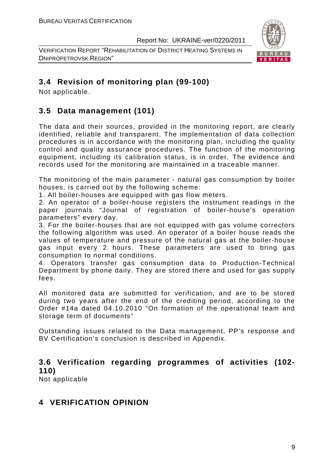VERIFICATION REPORT "REHABILITATION OF DISTRICT HEATING SYSTEMS IN DNIPROPETROVSK REGION"



#### **3.4 Revision of monitoring plan (99-100)**

Not applicable.

#### **3.5 Data management (101)**

The data and their sources, provided in the monitoring report, are clearly identified, reliable and transparent. The implementation of data collection procedures is in accordance with the monitoring plan, including the quality control and quality assurance procedures. The function of the monitoring equipment, including its calibration status, is in order. The evidence and records used for the monitoring are maintained in a traceable manner.

The monitoring of the main parameter - natural gas consumption by boiler houses, is carried out by the following scheme:

1. All boiler-houses are equipped with gas flow meters.

2. An operator of a boiler-house registers the instrument readings in the paper journals "Journal of registration of boiler-house's operation parameters" every day.

3. For the boiler-houses that are not equipped with gas volume correctors the following algorithm was used. An operator of a boiler house reads the values of temperature and pressure of the natural gas at the boiler-house gas input every 2 hours. These parameters are used to bring gas consumption to normal conditions.

4. Operators transfer gas consumption data to Production-Technical Department by phone daily. They are stored there and used for gas supply fees.

All monitored data are submitted for verification, and are to be stored during two years after the end of the crediting period, according to the Order #14a dated 04.10.2010 "On formation of the operational team and storage term of documents"

Outstanding issues related to the Data management, PP's response and BV Certification's conclusion is described in Appendix.

#### **3.6 Verification regarding programmes of activities (102- 110)**

Not applicable

#### **4 VERIFICATION OPINION**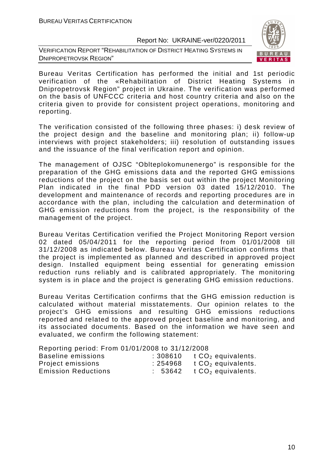VERIFICATION REPORT "REHABILITATION OF DISTRICT HEATING SYSTEMS IN DNIPROPETROVSK REGION"



Bureau Veritas Certification has performed the initial and 1st periodic verification of the «Rehabilitation of District Heating Systems in Dnipropetrovsk Region" project in Ukraine. The verification was performed on the basis of UNFCCC criteria and host country criteria and also on the criteria given to provide for consistent project operations, monitoring and reporting.

The verification consisted of the following three phases: i) desk review of the project design and the baseline and monitoring plan; ii) follow-up interviews with project stakeholders; iii) resolution of outstanding issues and the issuance of the final verification report and opinion.

The management of OJSC "Oblteplokomunenergo" is responsible for the preparation of the GHG emissions data and the reported GHG emissions reductions of the project on the basis set out within the project Monitoring Plan indicated in the final PDD version 03 dated 15/12/2010. The development and maintenance of records and reporting procedures are in accordance with the plan, including the calculation and determination of GHG emission reductions from the project, is the responsibility of the management of the project.

Bureau Veritas Certification verified the Project Monitoring Report version 02 dated 05/04/2011 for the reporting period from 01/01/2008 till 31/12/2008 as indicated below. Bureau Veritas Certification confirms that the project is implemented as planned and described in approved project design. Installed equipment being essential for generating emission reduction runs reliably and is calibrated appropriately. The monitoring system is in place and the project is generating GHG emission reductions.

Bureau Veritas Certification confirms that the GHG emission reduction is calculated without material misstatements. Our opinion relates to the project's GHG emissions and resulting GHG emissions reductions reported and related to the approved project baseline and monitoring, and its associated documents. Based on the information we have seen and evaluated, we confirm the following statement:

Reporting period: From 01/01/2008 to 31/12/2008

| Baseline emissions         | : 308610 | $t$ CO <sub>2</sub> equivalents. |
|----------------------------|----------|----------------------------------|
| Project emissions          | :254968  | t $CO2$ equivalents.             |
| <b>Emission Reductions</b> | : 53642  | t $CO2$ equivalents.             |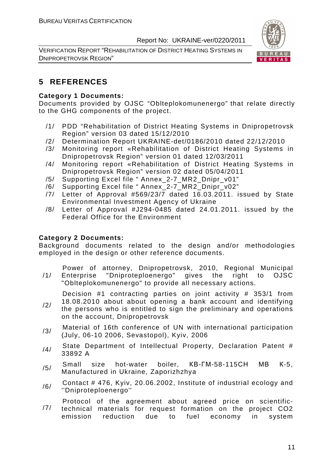VERIFICATION REPORT "REHABILITATION OF DISTRICT HEATING SYSTEMS IN DNIPROPETROVSK REGION"



#### **5 REFERENCES**

#### **Category 1 Documents:**

Documents provided by OJSC "Oblteplokomunenergo" that relate directly to the GHG components of the project.

- /1/ PDD "Rehabilitation of District Heating Systems in Dnipropetrovsk Region" version 03 dated 15/12/2010
- /2/ Determination Report UKRAINE-det/0186/2010 dated 22/12/2010
- /3/ Monitoring report «Rehabilitation of District Heating Systems in Dnipropetrovsk Region" version 01 dated 12/03/2011
- /4/ Monitoring report «Rehabilitation of District Heating Systems in Dnipropetrovsk Region" version 02 dated 05/04/2011
- /5/ Supporting Excel file " Annex\_2-7\_MR2\_Dnipr\_v01"
- /6/ Supporting Excel file " Annex\_2-7\_MR2\_Dnipr\_v02"
- /7/ Letter of Approval #569/23/7 dated 16.03.2011. issued by State Environmental Investment Agency of Ukraine
- /8/ Letter of Approval #J294-0485 dated 24.01.2011. issued by the Federal Office for the Environment

#### **Category 2 Documents:**

Background documents related to the design and/or methodologies employed in the design or other reference documents.

/1/ Power of attorney, Dnipropetrovsk, 2010, Regional Municipal Enterprise "Dniproteploenergo" gives the right to OJSC "Oblteplokomunenergo" to provide all necessary actions.

Decision #1 contracting parties on joint activity # 353/1 from

- /2/ 18.08.2010 about about opening a bank account and identifying the persons who is entitled to sign the preliminary and operations on the account, Dnipropetrovsk
- /3/ Material of 16th conference of UN with international participation (July, 06-10 2006, Sevastopol), Kyiv, 2006
- /4/ State Department of Intellectual Property, Declaration Patent # 33892 A
- /5/ Small size hot-water boiler, КВ-ГМ-58-115СН МВ <sup>К</sup>-5, Manufactured in Ukraine, Zaporizhzhya
- $/6/$  Contact # 476, Kyiv, 20.06.2002, Institute of industrial ecology and ''Dniproteploenergo''

/7/ Protocol of the agreement about agreed price on scientifictechnical materials for request formation on the project CO2 emission reduction due to fuel economy in system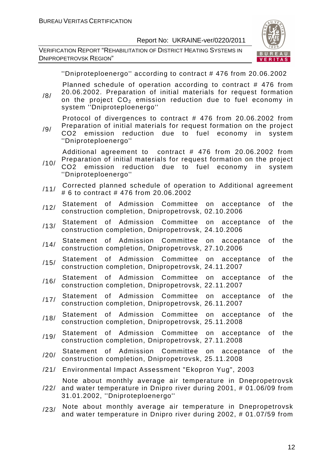VERIFICATION REPORT "REHABILITATION OF DISTRICT HEATING SYSTEMS IN DNIPROPETROVSK REGION"



''Dniproteploenergo'' according to contract # 476 from 20.06.2002

Planned schedule of operation according to contract # 476 from 20.06.2002. Preparation of initial materials for request formation

/8/ on the project  $CO<sub>2</sub>$  emission reduction due to fuel economy in system ''Dniproteploenergo''

Protocol of divergences to contract # 476 from 20.06.2002 from Preparation of initial materials for request formation on the project

/9/ CO2 emission reduction due to fuel economy in system ''Dniproteploenergo''

Additional agreement to contract # 476 from 20.06.2002 from Preparation of initial materials for request formation on the project

- /10/ CO2 emission reduction due to fuel economy in system ''Dniproteploenergo''
- /11/ Corrected planned schedule of operation to Additional agreement # 6 to contract # 476 from 20.06.2002
- /12/ Statement of Admission Committee on acceptance of the construction completion, Dnipropetrovsk, 02.10.2006
- /13/ Statement of Admission Committee on acceptance of the construction completion, Dnipropetrovsk, 24.10.2006
- /14/ Statement of Admission Committee on acceptance of the construction completion, Dnipropetrovsk, 27.10.2006
- /15/ Statement of Admission Committee on acceptance of the construction completion, Dnipropetrovsk, 24.11.2007
- /16/ Statement of Admission Committee on acceptance of the construction completion, Dnipropetrovsk, 22.11.2007
- /17/ Statement of Admission Committee on acceptance of the construction completion, Dnipropetrovsk, 26.11.2007
- /18/ Statement of Admission Committee on acceptance of the construction completion, Dnipropetrovsk, 25.11.2008
- /19/ Statement of Admission Committee on acceptance of the construction completion, Dnipropetrovsk, 27.11.2008
- /20/ Statement of Admission Committee on acceptance of the construction completion, Dnipropetrovsk, 25.11.2008
- /21/ Environmental Impact Assessment "Ekopron Yug", 2003

/22/ Note about monthly average air temperature in Dnepropetrovsk and water temperature in Dnipro river during 2001, # 01.06/09 from 31.01.2002, ''Dniproteploenergo''

/23/ Note about monthly average air temperature in Dnepropetrovsk and water temperature in Dnipro river during 2002, # 01.07/59 from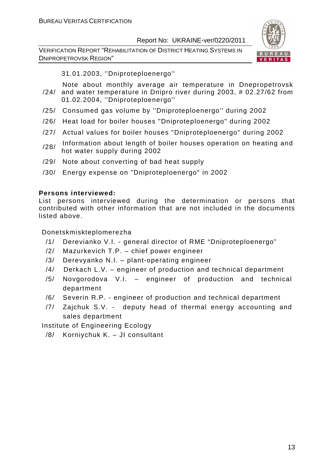VERIFICATION REPORT "REHABILITATION OF DISTRICT HEATING SYSTEMS IN DNIPROPETROVSK REGION"



31.01.2003, ''Dniproteploenergo''

- /24/ and water temperature in Dnipro river during 2003, # 02.27/62 from Note about monthly average air temperature in Dnepropetrovsk 01.02.2004, ''Dniproteploenergo''
- /25/ Consumed gas volume by ''Dniproteploenergo'' during 2002
- /26/ Heat load for boiler houses "Dniproteploenergo" during 2002
- /27/ Actual values for boiler houses "Dniproteploenergo" during 2002
- /28/ Information about length of boiler houses operation on heating and hot water supply during 2002
- /29/ Note about converting of bad heat supply
- /30/ Energy expense on "Dniproteploenergo" in 2002

#### **Persons interviewed:**

List persons interviewed during the determination or persons that contributed with other information that are not included in the documents listed above.

Donetskmiskteplomerezha

- /1/ Derevianko V.I. general director of RME "Dniproteploenergo"
- /2/ Mazurkevich T.P. chief power engineer
- /3/ Derevyanko N.I. plant-operating engineer
- /4/ Derkach L.V. engineer of production and technical department
- /5/ Novgorodova V.I. engineer of production and technical department
- /6/ Severin R.P. engineer of production and technical department
- /7/ Zajchuk S.V. deputy head of thermal energy accounting and sales department

Institute of Engineering Ecology

/8/ Korniychuk K. – JI consultant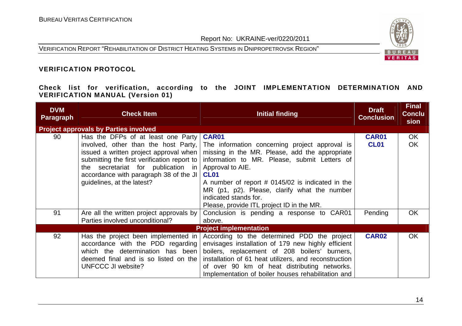VERIFICATION REPORT "REHABILITATION OF DISTRICT HEATING SYSTEMS IN DNIPROPETROVSK REGION"



#### **VERIFICATION PROTOCOL**

**Check list for verification, according to the JOINT IMPLEMENTATION DETERMINATION AND VERIFICATION MANUAL (Version 01)** 

| <b>DVM</b><br><b>Paragraph</b> | <b>Check Item</b>                            | <b>Initial finding</b>                                | <b>Draft</b><br><b>Conclusion</b> | <b>Final</b><br><b>Conclu</b><br>sion |
|--------------------------------|----------------------------------------------|-------------------------------------------------------|-----------------------------------|---------------------------------------|
|                                | <b>Project approvals by Parties involved</b> |                                                       |                                   |                                       |
| 90                             | Has the DFPs of at least one Party           | <b>CAR01</b>                                          | <b>CAR01</b>                      | OK                                    |
|                                | involved, other than the host Party,         | The information concerning project approval is        | <b>CL01</b>                       | OK                                    |
|                                | issued a written project approval when       | missing in the MR. Please, add the appropriate        |                                   |                                       |
|                                | submitting the first verification report to  | information to MR. Please, submit Letters of          |                                   |                                       |
|                                | the secretariat for publication in           | Approval to AIE.                                      |                                   |                                       |
|                                | accordance with paragraph 38 of the JI       | CL <sub>01</sub>                                      |                                   |                                       |
|                                | guidelines, at the latest?                   | A number of report # 0145/02 is indicated in the      |                                   |                                       |
|                                |                                              | MR (p1, p2). Please, clarify what the number          |                                   |                                       |
|                                |                                              | indicated stands for.                                 |                                   |                                       |
|                                |                                              | Please, provide ITL project ID in the MR.             |                                   |                                       |
| 91                             | Are all the written project approvals by     | Conclusion is pending a response to CAR01             | Pending                           | <b>OK</b>                             |
|                                | Parties involved unconditional?              | above.                                                |                                   |                                       |
|                                |                                              | <b>Project implementation</b>                         |                                   |                                       |
| 92                             | Has the project been implemented in          | According to the determined PDD the project           | <b>CAR02</b>                      | <b>OK</b>                             |
|                                | accordance with the PDD regarding            | envisages installation of 179 new highly efficient    |                                   |                                       |
|                                | which the determination has been             | boilers, replacement of 208 boilers' burners,         |                                   |                                       |
|                                | deemed final and is so listed on the         | installation of 61 heat utilizers, and reconstruction |                                   |                                       |
|                                | UNFCCC JI website?                           | of over 90 km of heat distributing networks.          |                                   |                                       |
|                                |                                              | Implementation of boiler houses rehabilitation and    |                                   |                                       |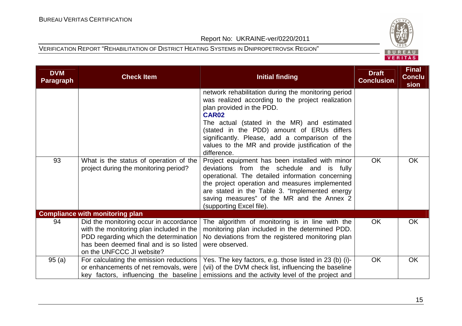

| <b>DVM</b><br><b>Paragraph</b> | <b>Check Item</b>                                                                                                                                                                                  | <b>Initial finding</b>                                                                                                                                                                                                                                                                                                                                                   | <b>Draft</b><br><b>Conclusion</b> | <b>Final</b><br><b>Conclu</b><br>sion |
|--------------------------------|----------------------------------------------------------------------------------------------------------------------------------------------------------------------------------------------------|--------------------------------------------------------------------------------------------------------------------------------------------------------------------------------------------------------------------------------------------------------------------------------------------------------------------------------------------------------------------------|-----------------------------------|---------------------------------------|
|                                |                                                                                                                                                                                                    | network rehabilitation during the monitoring period<br>was realized according to the project realization<br>plan provided in the PDD.<br><b>CAR02</b><br>The actual (stated in the MR) and estimated<br>(stated in the PDD) amount of ERUs differs<br>significantly. Please, add a comparison of the<br>values to the MR and provide justification of the<br>difference. |                                   |                                       |
| 93                             | What is the status of operation of the<br>project during the monitoring period?                                                                                                                    | Project equipment has been installed with minor<br>deviations from the schedule and<br>is<br>fully<br>operational. The detailed information concerning<br>the project operation and measures implemented<br>are stated in the Table 3. "Implemented energy<br>saving measures" of the MR and the Annex 2<br>(supporting Excel file).                                     | <b>OK</b>                         | <b>OK</b>                             |
|                                | <b>Compliance with monitoring plan</b>                                                                                                                                                             |                                                                                                                                                                                                                                                                                                                                                                          |                                   |                                       |
| 94                             | Did the monitoring occur in accordance<br>with the monitoring plan included in the<br>PDD regarding which the determination<br>has been deemed final and is so listed<br>on the UNFCCC JI website? | The algorithm of monitoring is in line with the<br>monitoring plan included in the determined PDD.<br>No deviations from the registered monitoring plan<br>were observed.                                                                                                                                                                                                | <b>OK</b>                         | OK                                    |
| 95(a)                          | For calculating the emission reductions<br>or enhancements of net removals, were<br>key factors, influencing the baseline                                                                          | Yes. The key factors, e.g. those listed in 23 (b) (i)-<br>(vii) of the DVM check list, influencing the baseline<br>emissions and the activity level of the project and                                                                                                                                                                                                   | OK                                | OK                                    |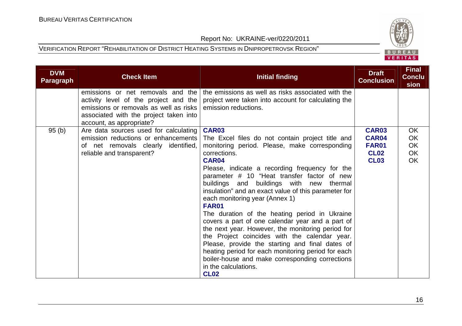

| <b>DVM</b><br><b>Paragraph</b> | <b>Check Item</b>                                                                                                                                                                          | <b>Initial finding</b>                                                                                                                                                                                                                                                                                                                                                                                                                                                                                                                                                                                                                                                                                                                                                                               | <b>Draft</b><br><b>Conclusion</b>                                   | <b>Final</b><br><b>Conclu</b><br>sion |
|--------------------------------|--------------------------------------------------------------------------------------------------------------------------------------------------------------------------------------------|------------------------------------------------------------------------------------------------------------------------------------------------------------------------------------------------------------------------------------------------------------------------------------------------------------------------------------------------------------------------------------------------------------------------------------------------------------------------------------------------------------------------------------------------------------------------------------------------------------------------------------------------------------------------------------------------------------------------------------------------------------------------------------------------------|---------------------------------------------------------------------|---------------------------------------|
|                                | emissions or net removals and the<br>activity level of the project and the<br>emissions or removals as well as risks<br>associated with the project taken into<br>account, as appropriate? | the emissions as well as risks associated with the<br>project were taken into account for calculating the<br>emission reductions.                                                                                                                                                                                                                                                                                                                                                                                                                                                                                                                                                                                                                                                                    |                                                                     |                                       |
| 95(b)                          | Are data sources used for calculating<br>emission reductions or enhancements<br>of net removals clearly identified,<br>reliable and transparent?                                           | CAR03<br>The Excel files do not contain project title and<br>monitoring period. Please, make corresponding<br>corrections.<br>CAR04<br>Please, indicate a recording frequency for the<br>parameter # 10 "Heat transfer factor of new<br>buildings and buildings with new<br>thermal<br>insulation" and an exact value of this parameter for<br>each monitoring year (Annex 1)<br>FAR01<br>The duration of the heating period in Ukraine<br>covers a part of one calendar year and a part of<br>the next year. However, the monitoring period for<br>the Project coincides with the calendar year.<br>Please, provide the starting and final dates of<br>heating period for each monitoring period for each<br>boiler-house and make corresponding corrections<br>in the calculations.<br><b>CL02</b> | <b>CAR03</b><br>CAR04<br><b>FAR01</b><br><b>CL02</b><br><b>CL03</b> | <b>OK</b><br>OK<br>OK<br>OK<br>OK     |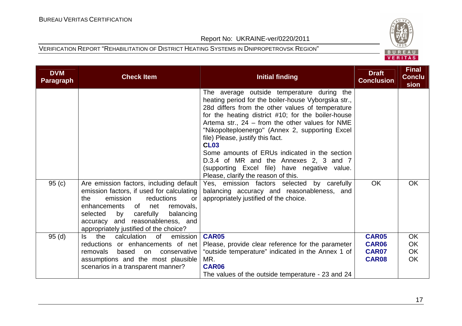

| <b>DVM</b><br><b>Paragraph</b> | <b>Check Item</b>                                                                                                                                                                                                                                                                                   | <b>Initial finding</b>                                                                                                                                                                                                                                                                                                                                                                                                                                                                                                                                   | <b>Draft</b><br><b>Conclusion</b> | <b>Final</b><br><b>Conclu</b><br>sion |
|--------------------------------|-----------------------------------------------------------------------------------------------------------------------------------------------------------------------------------------------------------------------------------------------------------------------------------------------------|----------------------------------------------------------------------------------------------------------------------------------------------------------------------------------------------------------------------------------------------------------------------------------------------------------------------------------------------------------------------------------------------------------------------------------------------------------------------------------------------------------------------------------------------------------|-----------------------------------|---------------------------------------|
|                                |                                                                                                                                                                                                                                                                                                     | The average outside temperature during the<br>heating period for the boiler-house Vyborgska str.,<br>28d differs from the other values of temperature<br>for the heating district #10; for the boiler-house<br>Artema str., $24$ – from the other values for NME<br>"Nikopolteploenergo" (Annex 2, supporting Excel<br>file) Please, justify this fact.<br><b>CL03</b><br>Some amounts of ERUs indicated in the section<br>D.3.4 of MR and the Annexes 2, 3 and 7<br>(supporting Excel file) have negative value.<br>Please, clarify the reason of this. |                                   |                                       |
| 95(c)                          | Are emission factors, including default<br>emission factors, if used for calculating<br>reductions<br>the<br>emission<br><b>or</b><br>enhancements<br>of net<br>removals,<br>carefully<br>balancing<br>selected<br>by<br>accuracy and reasonableness, and<br>appropriately justified of the choice? | Yes, emission factors selected by carefully<br>balancing accuracy and reasonableness, and<br>appropriately justified of the choice.                                                                                                                                                                                                                                                                                                                                                                                                                      | <b>OK</b>                         | <b>OK</b>                             |
| 95(d)                          | the<br>calculation<br>ls.<br>0f<br>emission                                                                                                                                                                                                                                                         | <b>CAR05</b>                                                                                                                                                                                                                                                                                                                                                                                                                                                                                                                                             | <b>CAR05</b>                      | OK                                    |
|                                | reductions or enhancements of net                                                                                                                                                                                                                                                                   | Please, provide clear reference for the parameter                                                                                                                                                                                                                                                                                                                                                                                                                                                                                                        | CAR06                             | OK                                    |
|                                | removals<br>based<br>conservative<br>on                                                                                                                                                                                                                                                             | "outside temperature" indicated in the Annex 1 of                                                                                                                                                                                                                                                                                                                                                                                                                                                                                                        | <b>CAR07</b>                      | OK                                    |
|                                | assumptions and the most plausible<br>scenarios in a transparent manner?                                                                                                                                                                                                                            | MR.<br><b>CAR06</b>                                                                                                                                                                                                                                                                                                                                                                                                                                                                                                                                      | <b>CAR08</b>                      | <b>OK</b>                             |
|                                |                                                                                                                                                                                                                                                                                                     | The values of the outside temperature - 23 and 24                                                                                                                                                                                                                                                                                                                                                                                                                                                                                                        |                                   |                                       |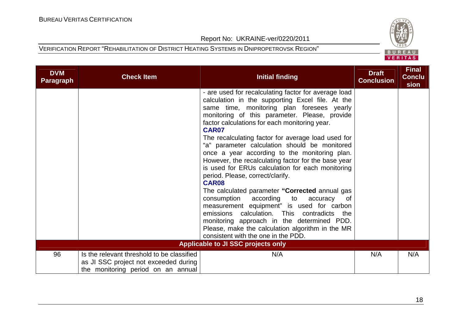

| <b>DVM</b><br><b>Paragraph</b> | <b>Check Item</b>                                                                                                         | Initial finding                                                                                                                                                                                                                                                                                                                                                                                                                                                                                                                                                                                                                                                                                                                                                                                                                                                                                                                  | <b>Draft</b><br><b>Conclusion</b> | <b>Final</b><br><b>Conclu</b><br>sion |
|--------------------------------|---------------------------------------------------------------------------------------------------------------------------|----------------------------------------------------------------------------------------------------------------------------------------------------------------------------------------------------------------------------------------------------------------------------------------------------------------------------------------------------------------------------------------------------------------------------------------------------------------------------------------------------------------------------------------------------------------------------------------------------------------------------------------------------------------------------------------------------------------------------------------------------------------------------------------------------------------------------------------------------------------------------------------------------------------------------------|-----------------------------------|---------------------------------------|
|                                |                                                                                                                           | - are used for recalculating factor for average load<br>calculation in the supporting Excel file. At the<br>same time, monitoring plan foresees yearly<br>monitoring of this parameter. Please, provide<br>factor calculations for each monitoring year.<br>CAR07<br>The recalculating factor for average load used for<br>"a" parameter calculation should be monitored<br>once a year according to the monitoring plan.<br>However, the recalculating factor for the base year<br>is used for ERUs calculation for each monitoring<br>period. Please, correct/clarify.<br><b>CAR08</b><br>The calculated parameter "Corrected annual gas<br>consumption according<br>to<br>accuracy<br>0f<br>measurement equipment" is used for carbon<br>emissions calculation. This contradicts the<br>monitoring approach in the determined PDD.<br>Please, make the calculation algorithm in the MR<br>consistent with the one in the PDD. |                                   |                                       |
|                                |                                                                                                                           | Applicable to JI SSC projects only                                                                                                                                                                                                                                                                                                                                                                                                                                                                                                                                                                                                                                                                                                                                                                                                                                                                                               |                                   |                                       |
| 96                             | Is the relevant threshold to be classified<br>as JI SSC project not exceeded during<br>the monitoring period on an annual | N/A                                                                                                                                                                                                                                                                                                                                                                                                                                                                                                                                                                                                                                                                                                                                                                                                                                                                                                                              | N/A                               | N/A                                   |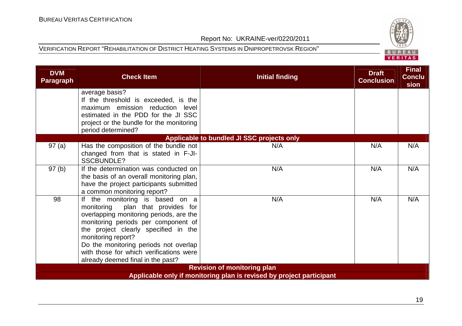

| <b>DVM</b><br><b>Paragraph</b> | <b>Check Item</b>                                                                                                                                                                                                                                                                                                                                | <b>Initial finding</b>                     | <b>Draft</b><br><b>Conclusion</b> | <b>Final</b><br><b>Conclu</b><br>sion |
|--------------------------------|--------------------------------------------------------------------------------------------------------------------------------------------------------------------------------------------------------------------------------------------------------------------------------------------------------------------------------------------------|--------------------------------------------|-----------------------------------|---------------------------------------|
|                                | average basis?<br>If the threshold is exceeded, is the<br>maximum emission reduction level<br>estimated in the PDD for the JI SSC<br>project or the bundle for the monitoring<br>period determined?                                                                                                                                              |                                            |                                   |                                       |
|                                |                                                                                                                                                                                                                                                                                                                                                  | Applicable to bundled JI SSC projects only |                                   |                                       |
| 97(a)                          | Has the composition of the bundle not<br>changed from that is stated in F-JI-<br><b>SSCBUNDLE?</b>                                                                                                                                                                                                                                               | N/A                                        | N/A                               | N/A                                   |
| 97(b)                          | If the determination was conducted on<br>the basis of an overall monitoring plan,<br>have the project participants submitted<br>a common monitoring report?                                                                                                                                                                                      | N/A                                        | N/A                               | N/A                                   |
| 98                             | If the monitoring is based on a<br>plan that provides for<br>monitoring<br>overlapping monitoring periods, are the<br>monitoring periods per component of<br>the project clearly specified in the<br>monitoring report?<br>Do the monitoring periods not overlap<br>with those for which verifications were<br>already deemed final in the past? | N/A                                        | N/A                               | N/A                                   |
|                                |                                                                                                                                                                                                                                                                                                                                                  | <b>Revision of monitoring plan</b>         |                                   |                                       |
|                                | Applicable only if monitoring plan is revised by project participant                                                                                                                                                                                                                                                                             |                                            |                                   |                                       |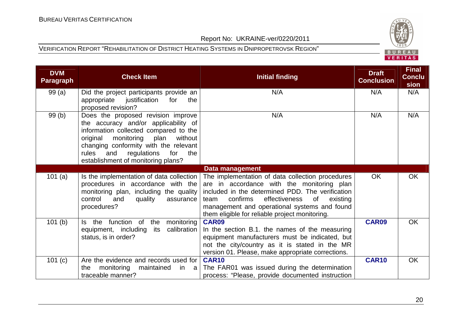# BUREAU<br>VERITAS

#### Report No: UKRAINE-ver/0220/2011

| <b>DVM</b><br>Paragraph | <b>Check Item</b>                                                                                                                                                                                                                                                                         | <b>Initial finding</b>                                                                                                                                                                                                                                                                                      | <b>Draft</b><br><b>Conclusion</b> | <b>Final</b><br><b>Conclu</b><br>sion |
|-------------------------|-------------------------------------------------------------------------------------------------------------------------------------------------------------------------------------------------------------------------------------------------------------------------------------------|-------------------------------------------------------------------------------------------------------------------------------------------------------------------------------------------------------------------------------------------------------------------------------------------------------------|-----------------------------------|---------------------------------------|
| 99(a)                   | Did the project participants provide an<br>appropriate<br>justification<br>for<br>the<br>proposed revision?                                                                                                                                                                               | N/A                                                                                                                                                                                                                                                                                                         | N/A                               | N/A                                   |
| 99(b)                   | Does the proposed revision improve<br>the accuracy and/or applicability of<br>information collected compared to the<br>original<br>monitoring plan<br>without<br>changing conformity with the relevant<br>regulations<br>for<br>rules<br>and<br>the<br>establishment of monitoring plans? | N/A                                                                                                                                                                                                                                                                                                         | N/A                               | N/A                                   |
|                         |                                                                                                                                                                                                                                                                                           | Data management                                                                                                                                                                                                                                                                                             |                                   |                                       |
| 101(a)                  | Is the implementation of data collection<br>procedures in accordance with the<br>monitoring plan, including the quality<br>control<br>and<br>quality<br>assurance<br>procedures?                                                                                                          | The implementation of data collection procedures<br>are in accordance with the monitoring plan<br>included in the determined PDD. The verification<br>confirms<br>effectiveness<br>of<br>existing<br>team<br>management and operational systems and found<br>them eligible for reliable project monitoring. | <b>OK</b>                         | OK.                                   |
| 101(b)                  | function of the<br>monitoring<br>Is the<br>calibration<br>equipment, including<br>its<br>status, is in order?                                                                                                                                                                             | <b>CAR09</b><br>In the section B.1. the names of the measuring<br>equipment manufacturers must be indicated, but<br>not the city/country as it is stated in the MR<br>version 01. Please, make appropriate corrections.                                                                                     | <b>CAR09</b>                      | OK                                    |
| 101 (c)                 | Are the evidence and records used for<br>monitoring<br>maintained<br>the<br>in<br>- a<br>traceable manner?                                                                                                                                                                                | <b>CAR10</b><br>The FAR01 was issued during the determination<br>process: "Please, provide documented instruction                                                                                                                                                                                           | <b>CAR10</b>                      | OK.                                   |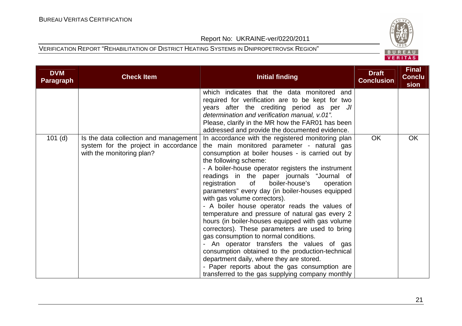

| <b>DVM</b><br><b>Paragraph</b> | <b>Check Item</b>                                                                                          | <b>Initial finding</b>                                                                                                                                                                                                                                                                                                                                                                                                                                                                                                                                                                                                                                                                                                                                                                                                                                                                                                          | <b>Draft</b><br><b>Conclusion</b> | <b>Final</b><br><b>Conclu</b><br>sion |
|--------------------------------|------------------------------------------------------------------------------------------------------------|---------------------------------------------------------------------------------------------------------------------------------------------------------------------------------------------------------------------------------------------------------------------------------------------------------------------------------------------------------------------------------------------------------------------------------------------------------------------------------------------------------------------------------------------------------------------------------------------------------------------------------------------------------------------------------------------------------------------------------------------------------------------------------------------------------------------------------------------------------------------------------------------------------------------------------|-----------------------------------|---------------------------------------|
|                                |                                                                                                            | which indicates that the data monitored and<br>required for verification are to be kept for two<br>years after the crediting period as per JI<br>determination and verification manual, v.01".<br>Please, clarify in the MR how the FAR01 has been<br>addressed and provide the documented evidence.                                                                                                                                                                                                                                                                                                                                                                                                                                                                                                                                                                                                                            |                                   |                                       |
| $101$ (d)                      | Is the data collection and management<br>system for the project in accordance<br>with the monitoring plan? | In accordance with the registered monitoring plan<br>the main monitored parameter - natural gas<br>consumption at boiler houses - is carried out by<br>the following scheme:<br>- A boiler-house operator registers the instrument<br>readings in the paper journals "Journal of<br>registration<br>boiler-house's<br>of<br>operation<br>parameters" every day (in boiler-houses equipped<br>with gas volume correctors).<br>- A boiler house operator reads the values of<br>temperature and pressure of natural gas every 2<br>hours (in boiler-houses equipped with gas volume<br>correctors). These parameters are used to bring<br>gas consumption to normal conditions.<br>- An operator transfers the values of gas<br>consumption obtained to the production-technical<br>department daily, where they are stored.<br>- Paper reports about the gas consumption are<br>transferred to the gas supplying company monthly | OK                                | <b>OK</b>                             |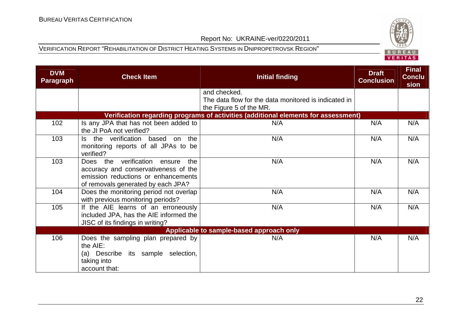

| <b>DVM</b><br>Paragraph | <b>Check Item</b>                                                                                                                                        | <b>Initial finding</b>                                                                          | <b>Draft</b><br><b>Conclusion</b> | <b>Final</b><br><b>Conclu</b><br>sion |
|-------------------------|----------------------------------------------------------------------------------------------------------------------------------------------------------|-------------------------------------------------------------------------------------------------|-----------------------------------|---------------------------------------|
|                         |                                                                                                                                                          | and checked.<br>The data flow for the data monitored is indicated in<br>the Figure 5 of the MR. |                                   |                                       |
|                         |                                                                                                                                                          | Verification regarding programs of activities (additional elements for assessment)              |                                   |                                       |
| 102                     | Is any JPA that has not been added to<br>the JI PoA not verified?                                                                                        | N/A                                                                                             | N/A                               | N/A                                   |
| 103                     | the verification based on<br>the<br>ls.<br>monitoring reports of all JPAs to be<br>verified?                                                             | N/A                                                                                             | N/A                               | N/A                                   |
| 103                     | Does the verification ensure<br>the<br>accuracy and conservativeness of the<br>emission reductions or enhancements<br>of removals generated by each JPA? | N/A                                                                                             | N/A                               | N/A                                   |
| 104                     | Does the monitoring period not overlap<br>with previous monitoring periods?                                                                              | N/A                                                                                             | N/A                               | N/A                                   |
| 105                     | If the AIE learns of an erroneously<br>included JPA, has the AIE informed the<br>JISC of its findings in writing?                                        | N/A                                                                                             | N/A                               | N/A                                   |
|                         |                                                                                                                                                          | Applicable to sample-based approach only                                                        |                                   |                                       |
| 106                     | Does the sampling plan prepared by<br>the AIE:<br>(a) Describe its sample selection,<br>taking into<br>account that:                                     | N/A                                                                                             | N/A                               | N/A                                   |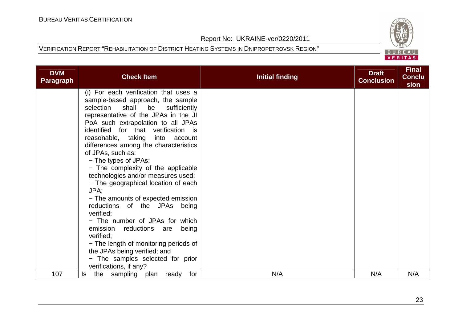

| <b>DVM</b><br><b>Paragraph</b> | <b>Check Item</b>                                                          | <b>Initial finding</b> | <b>Draft</b><br><b>Conclusion</b> | <b>Final</b><br><b>Conclu</b><br>sion |
|--------------------------------|----------------------------------------------------------------------------|------------------------|-----------------------------------|---------------------------------------|
|                                | (i) For each verification that uses a                                      |                        |                                   |                                       |
|                                | sample-based approach, the sample                                          |                        |                                   |                                       |
|                                | selection shall be sufficiently                                            |                        |                                   |                                       |
|                                | representative of the JPAs in the JI<br>PoA such extrapolation to all JPAs |                        |                                   |                                       |
|                                | identified for that verification is                                        |                        |                                   |                                       |
|                                | reasonable, taking<br>into account                                         |                        |                                   |                                       |
|                                | differences among the characteristics                                      |                        |                                   |                                       |
|                                | of JPAs, such as:                                                          |                        |                                   |                                       |
|                                | - The types of JPAs;                                                       |                        |                                   |                                       |
|                                | - The complexity of the applicable                                         |                        |                                   |                                       |
|                                | technologies and/or measures used;                                         |                        |                                   |                                       |
|                                | - The geographical location of each                                        |                        |                                   |                                       |
|                                | JPA;                                                                       |                        |                                   |                                       |
|                                | - The amounts of expected emission                                         |                        |                                   |                                       |
|                                | reductions of the JPAs being                                               |                        |                                   |                                       |
|                                | verified:                                                                  |                        |                                   |                                       |
|                                | - The number of JPAs for which                                             |                        |                                   |                                       |
|                                | emission<br>reductions are<br>being                                        |                        |                                   |                                       |
|                                | verified;                                                                  |                        |                                   |                                       |
|                                | - The length of monitoring periods of<br>the JPAs being verified; and      |                        |                                   |                                       |
|                                | - The samples selected for prior                                           |                        |                                   |                                       |
|                                | verifications, if any?                                                     |                        |                                   |                                       |
| 107                            | the sampling<br>for<br>plan ready<br>ls.                                   | N/A                    | N/A                               | N/A                                   |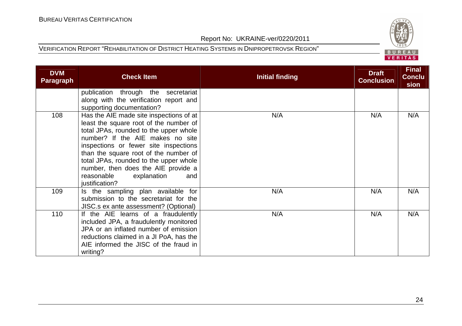writing?

**DVM** 

## VERITAS

#### Report No: UKRAINE-ver/0220/2011

#### VERIFICATION REPORT "REHABILITATION OF DISTRICT HEATING SYSTEMS IN DNIPROPETROVSK REGION"

 included JPA, a fraudulently monitored JPA or an inflated number of emission reductions claimed in a JI PoA, has the AIE informed the JISC of the fraud in

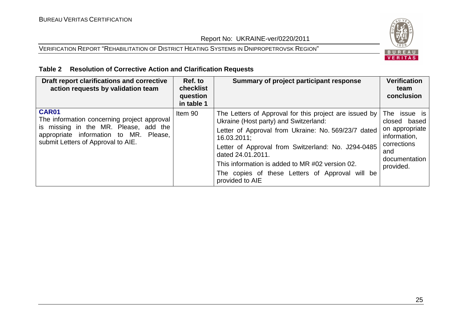#### VERIFICATION REPORT "REHABILITATION OF DISTRICT HEATING SYSTEMS IN DNIPROPETROVSK REGION"



#### **Table 2 Resolution of Corrective Action and Clarification Requests**

| Draft report clarifications and corrective<br>action requests by validation team                                                                                              | Ref. to<br>checklist<br>question<br>in table 1 | Summary of project participant response                                                                                                                                                                                                                                                                                                                                   | <b>Verification</b><br>team<br>conclusion                                                                          |
|-------------------------------------------------------------------------------------------------------------------------------------------------------------------------------|------------------------------------------------|---------------------------------------------------------------------------------------------------------------------------------------------------------------------------------------------------------------------------------------------------------------------------------------------------------------------------------------------------------------------------|--------------------------------------------------------------------------------------------------------------------|
| CAR01<br>The information concerning project approval<br>is missing in the MR. Please, add the<br>appropriate information to MR. Please,<br>submit Letters of Approval to AIE. | Item 90                                        | The Letters of Approval for this project are issued by<br>Ukraine (Host party) and Switzerland:<br>Letter of Approval from Ukraine: No. 569/23/7 dated<br>16.03.2011;<br>Letter of Approval from Switzerland: No. J294-0485<br>dated 24.01.2011.<br>This information is added to MR #02 version 02.<br>The copies of these Letters of Approval will be<br>provided to AIE | The issue is<br>closed based<br>on appropriate<br>information,<br>corrections<br>and<br>documentation<br>provided. |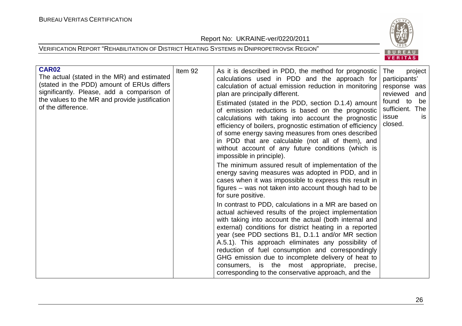Report No: UKRAINE-ver/0220/2011



| CAR02<br>The actual (stated in the MR) and estimated<br>(stated in the PDD) amount of ERUs differs<br>significantly. Please, add a comparison of<br>the values to the MR and provide justification<br>of the difference. | Item 92 | As it is described in PDD, the method for prognostic<br>calculations used in PDD and the approach for<br>calculation of actual emission reduction in monitoring<br>plan are principally different.<br>Estimated (stated in the PDD, section D.1.4) amount<br>of emission reductions is based on the prognostic<br>calculations with taking into account the prognostic<br>efficiency of boilers, prognostic estimation of efficiency<br>of some energy saving measures from ones described<br>in PDD that are calculable (not all of them), and<br>without account of any future conditions (which is<br>impossible in principle). | The<br>project<br>participants'<br>response was<br>reviewed and<br>found to<br>be<br>sufficient. The<br>issue<br><b>is</b><br>closed. |
|--------------------------------------------------------------------------------------------------------------------------------------------------------------------------------------------------------------------------|---------|------------------------------------------------------------------------------------------------------------------------------------------------------------------------------------------------------------------------------------------------------------------------------------------------------------------------------------------------------------------------------------------------------------------------------------------------------------------------------------------------------------------------------------------------------------------------------------------------------------------------------------|---------------------------------------------------------------------------------------------------------------------------------------|
|                                                                                                                                                                                                                          |         | The minimum assured result of implementation of the<br>energy saving measures was adopted in PDD, and in<br>cases when it was impossible to express this result in<br>figures – was not taken into account though had to be<br>for sure positive.                                                                                                                                                                                                                                                                                                                                                                                  |                                                                                                                                       |
|                                                                                                                                                                                                                          |         | In contrast to PDD, calculations in a MR are based on<br>actual achieved results of the project implementation<br>with taking into account the actual (both internal and<br>external) conditions for district heating in a reported<br>year (see PDD sections B1, D.1.1 and/or MR section<br>A.5.1). This approach eliminates any possibility of<br>reduction of fuel consumption and correspondingly<br>GHG emission due to incomplete delivery of heat to<br>consumers, is the most appropriate, precise,<br>corresponding to the conservative approach, and the                                                                 |                                                                                                                                       |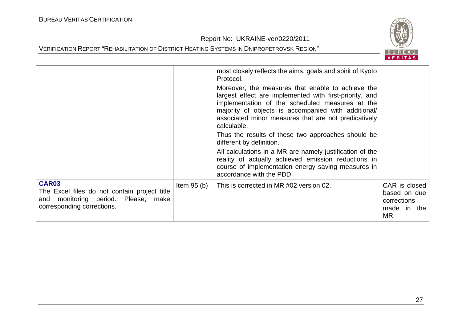

|                                                                                                                                      |              | most closely reflects the aims, goals and spirit of Kyoto<br>Protocol.<br>Moreover, the measures that enable to achieve the<br>largest effect are implemented with first-priority, and<br>implementation of the scheduled measures at the<br>majority of objects is accompanied with additional/<br>associated minor measures that are not predicatively<br>calculable.<br>Thus the results of these two approaches should be<br>different by definition.<br>All calculations in a MR are namely justification of the<br>reality of actually achieved emission reductions in<br>course of implementation energy saving measures in<br>accordance with the PDD. |                                                                    |
|--------------------------------------------------------------------------------------------------------------------------------------|--------------|----------------------------------------------------------------------------------------------------------------------------------------------------------------------------------------------------------------------------------------------------------------------------------------------------------------------------------------------------------------------------------------------------------------------------------------------------------------------------------------------------------------------------------------------------------------------------------------------------------------------------------------------------------------|--------------------------------------------------------------------|
| <b>CAR03</b><br>The Excel files do not contain project title<br>monitoring period. Please, make<br>and<br>corresponding corrections. | Item $95(b)$ | This is corrected in MR #02 version 02.                                                                                                                                                                                                                                                                                                                                                                                                                                                                                                                                                                                                                        | CAR is closed<br>based on due<br>corrections<br>made in the<br>MR. |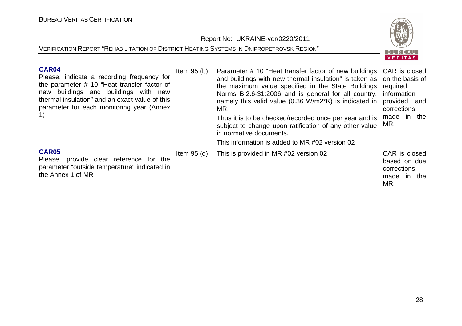

| <b>CAR04</b><br>Please, indicate a recording frequency for<br>the parameter # 10 "Heat transfer factor of<br>new buildings and buildings with new<br>thermal insulation" and an exact value of this<br>parameter for each monitoring year (Annex | Item $95(b)$  | Parameter # 10 "Heat transfer factor of new buildings   CAR is closed<br>and buildings with new thermal insulation" is taken as<br>the maximum value specified in the State Buildings required<br>Norms B.2.6-31:2006 and is general for all country,<br>namely this valid value (0.36 W/m2*K) is indicated in<br>MR.<br>Thus it is to be checked/recorded once per year and is<br>subject to change upon ratification of any other value<br>in normative documents.<br>This information is added to MR #02 version 02 | on the basis of<br>information<br>provided and<br>corrections<br>made in the<br>MR. |
|--------------------------------------------------------------------------------------------------------------------------------------------------------------------------------------------------------------------------------------------------|---------------|------------------------------------------------------------------------------------------------------------------------------------------------------------------------------------------------------------------------------------------------------------------------------------------------------------------------------------------------------------------------------------------------------------------------------------------------------------------------------------------------------------------------|-------------------------------------------------------------------------------------|
| <b>CAR05</b><br>Please, provide clear reference for the<br>parameter "outside temperature" indicated in<br>the Annex 1 of MR                                                                                                                     | Item $95$ (d) | This is provided in MR #02 version 02                                                                                                                                                                                                                                                                                                                                                                                                                                                                                  | CAR is closed<br>based on due<br>corrections<br>made in the<br>MR.                  |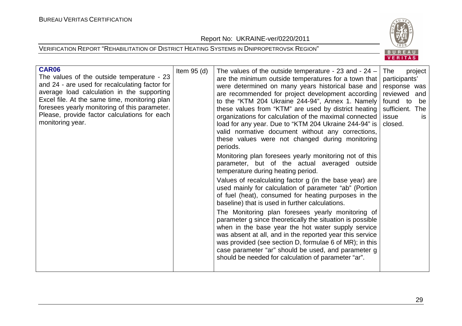Report No: UKRAINE-ver/0220/2011





| <b>CAR06</b><br>The values of the outside temperature - 23<br>and 24 - are used for recalculating factor for<br>average load calculation in the supporting<br>Excel file. At the same time, monitoring plan<br>foresees yearly monitoring of this parameter.<br>Please, provide factor calculations for each<br>monitoring year. | Item $95$ (d) | The values of the outside temperature - 23 and - $24 -$<br>are the minimum outside temperatures for a town that<br>were determined on many years historical base and<br>are recommended for project development according<br>to the "KTM 204 Ukraine 244-94", Annex 1. Namely<br>these values from "KTM" are used by district heating<br>organizations for calculation of the maximal connected<br>load for any year. Due to "KTM 204 Ukraine 244-94" is<br>valid normative document without any corrections,<br>these values were not changed during monitoring<br>periods.<br>Monitoring plan foresees yearly monitoring not of this<br>parameter, but of the actual averaged outside<br>temperature during heating period.<br>Values of recalculating factor g (in the base year) are<br>used mainly for calculation of parameter "ab" (Portion<br>of fuel (heat), consumed for heating purposes in the<br>baseline) that is used in further calculations.<br>The Monitoring plan foresees yearly monitoring of<br>parameter g since theoretically the situation is possible<br>when in the base year the hot water supply service<br>was absent at all, and in the reported year this service<br>was provided (see section D, formulae 6 of MR); in this<br>case parameter "ar" should be used, and parameter g<br>should be needed for calculation of parameter "ar". | The<br>project<br>participants'<br>response was<br>reviewed and<br>found to<br>be<br>sufficient. The<br>issue<br>is.<br>closed. |  |
|----------------------------------------------------------------------------------------------------------------------------------------------------------------------------------------------------------------------------------------------------------------------------------------------------------------------------------|---------------|----------------------------------------------------------------------------------------------------------------------------------------------------------------------------------------------------------------------------------------------------------------------------------------------------------------------------------------------------------------------------------------------------------------------------------------------------------------------------------------------------------------------------------------------------------------------------------------------------------------------------------------------------------------------------------------------------------------------------------------------------------------------------------------------------------------------------------------------------------------------------------------------------------------------------------------------------------------------------------------------------------------------------------------------------------------------------------------------------------------------------------------------------------------------------------------------------------------------------------------------------------------------------------------------------------------------------------------------------------------------------|---------------------------------------------------------------------------------------------------------------------------------|--|
|----------------------------------------------------------------------------------------------------------------------------------------------------------------------------------------------------------------------------------------------------------------------------------------------------------------------------------|---------------|----------------------------------------------------------------------------------------------------------------------------------------------------------------------------------------------------------------------------------------------------------------------------------------------------------------------------------------------------------------------------------------------------------------------------------------------------------------------------------------------------------------------------------------------------------------------------------------------------------------------------------------------------------------------------------------------------------------------------------------------------------------------------------------------------------------------------------------------------------------------------------------------------------------------------------------------------------------------------------------------------------------------------------------------------------------------------------------------------------------------------------------------------------------------------------------------------------------------------------------------------------------------------------------------------------------------------------------------------------------------------|---------------------------------------------------------------------------------------------------------------------------------|--|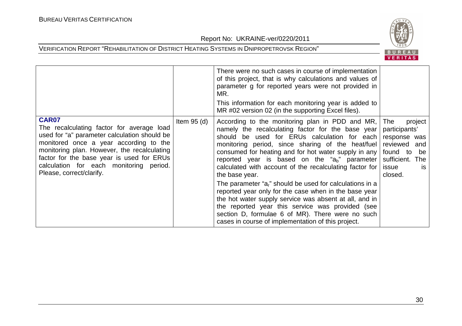

|                                                                                                                                                                                                                                                                                                                 |               | There were no such cases in course of implementation<br>of this project, that is why calculations and values of<br>parameter g for reported years were not provided in<br>MR.<br>This information for each monitoring year is added to<br>MR #02 version 02 (in the supporting Excel files).                                                                                                                                                                                                                                                                                                   |                                                                                                                                          |
|-----------------------------------------------------------------------------------------------------------------------------------------------------------------------------------------------------------------------------------------------------------------------------------------------------------------|---------------|------------------------------------------------------------------------------------------------------------------------------------------------------------------------------------------------------------------------------------------------------------------------------------------------------------------------------------------------------------------------------------------------------------------------------------------------------------------------------------------------------------------------------------------------------------------------------------------------|------------------------------------------------------------------------------------------------------------------------------------------|
| CAR07<br>The recalculating factor for average load<br>used for "a" parameter calculation should be<br>monitored once a year according to the<br>monitoring plan. However, the recalculating<br>factor for the base year is used for ERUs<br>calculation for each monitoring period.<br>Please, correct/clarify. | Item $95$ (d) | According to the monitoring plan in PDD and MR,<br>namely the recalculating factor for the base year<br>should be used for ERUs calculation for each<br>monitoring period, since sharing of the heat/fuel<br>consumed for heating and for hot water supply in any<br>reported year is based on the " $a_h$ " parameter<br>calculated with account of the recalculating factor for<br>the base year.<br>The parameter "a <sub>r</sub> " should be used for calculations in a<br>reported year only for the case when in the base year<br>the hot water supply service was absent at all, and in | The<br>project<br>participants'<br>response was<br>reviewed<br>and<br>found to<br>be<br>sufficient. The<br>issue<br><b>IS</b><br>closed. |
|                                                                                                                                                                                                                                                                                                                 |               | the reported year this service was provided (see<br>section D, formulae 6 of MR). There were no such<br>cases in course of implementation of this project.                                                                                                                                                                                                                                                                                                                                                                                                                                     |                                                                                                                                          |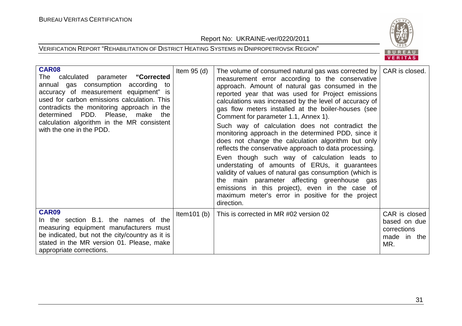Report No: UKRAINE-ver/0220/2011



| <b>CAR08</b><br>calculated parameter "Corrected<br>The<br>annual gas consumption according to<br>accuracy of measurement equipment" is<br>used for carbon emissions calculation. This<br>contradicts the monitoring approach in the<br>determined PDD. Please, make the<br>calculation algorithm in the MR consistent<br>with the one in the PDD. | Item $95$ (d)  | The volume of consumed natural gas was corrected by  <br>measurement error according to the conservative<br>approach. Amount of natural gas consumed in the<br>reported year that was used for Project emissions<br>calculations was increased by the level of accuracy of<br>gas flow meters installed at the boiler-houses (see<br>Comment for parameter 1.1, Annex 1).<br>Such way of calculation does not contradict the<br>monitoring approach in the determined PDD, since it<br>does not change the calculation algorithm but only<br>reflects the conservative approach to data processing.<br>Even though such way of calculation leads to<br>understating of amounts of ERUs, it guarantees<br>validity of values of natural gas consumption (which is<br>the main parameter affecting greenhouse gas<br>emissions in this project), even in the case of<br>maximum meter's error in positive for the project<br>direction. | CAR is closed.                                                     |
|---------------------------------------------------------------------------------------------------------------------------------------------------------------------------------------------------------------------------------------------------------------------------------------------------------------------------------------------------|----------------|---------------------------------------------------------------------------------------------------------------------------------------------------------------------------------------------------------------------------------------------------------------------------------------------------------------------------------------------------------------------------------------------------------------------------------------------------------------------------------------------------------------------------------------------------------------------------------------------------------------------------------------------------------------------------------------------------------------------------------------------------------------------------------------------------------------------------------------------------------------------------------------------------------------------------------------|--------------------------------------------------------------------|
| CAR09<br>In the section B.1. the names of the<br>measuring equipment manufacturers must<br>be indicated, but not the city/country as it is<br>stated in the MR version 01. Please, make<br>appropriate corrections.                                                                                                                               | Item $101$ (b) | This is corrected in MR #02 version 02                                                                                                                                                                                                                                                                                                                                                                                                                                                                                                                                                                                                                                                                                                                                                                                                                                                                                                | CAR is closed<br>based on due<br>corrections<br>made in the<br>MR. |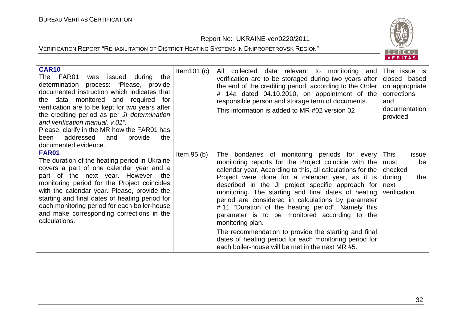Report No: UKRAINE-ver/0220/2011



| <b>CAR10</b><br>FAR01<br>was issued during<br>The<br>the<br>determination process: "Please, provide<br>documented instruction which indicates that<br>the data monitored and required<br>for<br>verification are to be kept for two years after<br>the crediting period as per <i>JI</i> determination<br>and verification manual, v.01".<br>Please, clarify in the MR how the FAR01 has<br>addressed<br>provide<br>been<br>and<br>the<br>documented evidence. | Item $101(c)$ | All collected data relevant to monitoring and<br>verification are to be storaged during two years after<br>the end of the crediting period, according to the Order<br>14a dated 04.10.2010, on appointment of the<br>#<br>responsible person and storage term of documents.<br>This information is added to MR #02 version 02                                                                                                                                                                                                                                                                                                                                                            | The issue is<br>closed based<br>on appropriate<br>corrections<br>and<br>documentation<br>provided. |
|----------------------------------------------------------------------------------------------------------------------------------------------------------------------------------------------------------------------------------------------------------------------------------------------------------------------------------------------------------------------------------------------------------------------------------------------------------------|---------------|------------------------------------------------------------------------------------------------------------------------------------------------------------------------------------------------------------------------------------------------------------------------------------------------------------------------------------------------------------------------------------------------------------------------------------------------------------------------------------------------------------------------------------------------------------------------------------------------------------------------------------------------------------------------------------------|----------------------------------------------------------------------------------------------------|
| <b>FAR01</b><br>The duration of the heating period in Ukraine<br>covers a part of one calendar year and a<br>part of the next year. However, the<br>monitoring period for the Project coincides<br>with the calendar year. Please, provide the<br>starting and final dates of heating period for<br>each monitoring period for each boiler-house<br>and make corresponding corrections in the<br>calculations.                                                 | Item $95(b)$  | The bondaries of monitoring periods for every<br>monitoring reports for the Project coincide with the<br>calendar year. According to this, all calculations for the<br>Project were done for a calendar year, as it is<br>described in the JI project specific approach for<br>monitoring. The starting and final dates of heating<br>period are considered in calculations by parameter<br>#11 "Duration of the heating period". Namely this<br>parameter is to be monitored according to the<br>monitoring plan.<br>The recommendation to provide the starting and final<br>dates of heating period for each monitoring period for<br>each boiler-house will be met in the next MR #5. | <b>This</b><br>issue<br>must<br>be<br>checked<br>during<br>the<br>next<br>verification.            |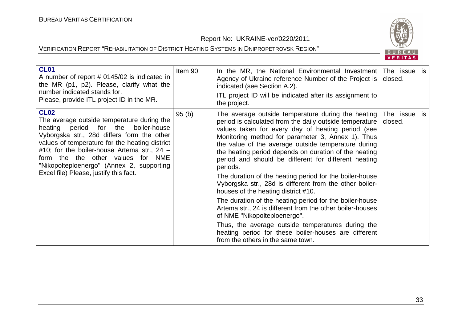

| <b>CL01</b><br>A number of report # 0145/02 is indicated in<br>the MR (p1, p2). Please, clarify what the<br>number indicated stands for.<br>Please, provide ITL project ID in the MR.                                                                                                                                                                                               | Item 90 | In the MR, the National Environmental Investment<br>Agency of Ukraine reference Number of the Project is<br>indicated (see Section A.2).<br>ITL project ID will be indicated after its assignment to<br>the project.                                                                                                                                                                                                                                                                                                                                                                                                                                                                                                                                                                                                                                                               | The issue is<br>closed. |  |
|-------------------------------------------------------------------------------------------------------------------------------------------------------------------------------------------------------------------------------------------------------------------------------------------------------------------------------------------------------------------------------------|---------|------------------------------------------------------------------------------------------------------------------------------------------------------------------------------------------------------------------------------------------------------------------------------------------------------------------------------------------------------------------------------------------------------------------------------------------------------------------------------------------------------------------------------------------------------------------------------------------------------------------------------------------------------------------------------------------------------------------------------------------------------------------------------------------------------------------------------------------------------------------------------------|-------------------------|--|
| <b>CL02</b><br>The average outside temperature during the<br>period for the<br>boiler-house<br>heating<br>Vyborgska str., 28d differs form the other<br>values of temperature for the heating district<br>#10; for the boiler-house Artema str., $24 -$<br>form the the other values for NME<br>"Nikopolteploenergo" (Annex 2, supporting<br>Excel file) Please, justify this fact. | 95(b)   | The average outside temperature during the heating<br>period is calculated from the daily outside temperature<br>values taken for every day of heating period (see<br>Monitoring method for parameter 3, Annex 1). Thus<br>the value of the average outside temperature during<br>the heating period depends on duration of the heating<br>period and should be different for different heating<br>periods.<br>The duration of the heating period for the boiler-house<br>Vyborgska str., 28d is different from the other boiler-<br>houses of the heating district #10.<br>The duration of the heating period for the boiler-house<br>Artema str., 24 is different from the other boiler-houses<br>of NME "Nikopolteploenergo".<br>Thus, the average outside temperatures during the<br>heating period for these boiler-houses are different<br>from the others in the same town. | The issue is<br>closed. |  |